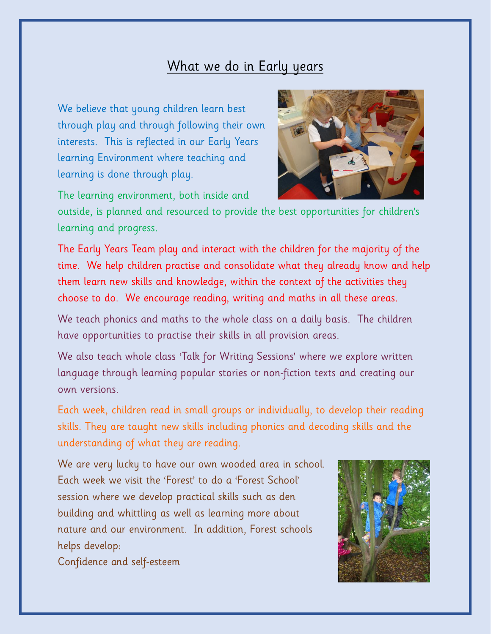## What we do in Early years

We believe that young children learn best through play and through following their own interests. This is reflected in our Early Years learning Environment where teaching and learning is done through play.



The learning environment, both inside and

outside, is planned and resourced to provide the best opportunities for children's learning and progress.

The Early Years Team play and interact with the children for the majority of the time. We help children practise and consolidate what they already know and help them learn new skills and knowledge, within the context of the activities they choose to do. We encourage reading, writing and maths in all these areas.

We teach phonics and maths to the whole class on a daily basis. The children have opportunities to practise their skills in all provision areas.

We also teach whole class 'Talk for Writing Sessions' where we explore written language through learning popular stories or non-fiction texts and creating our own versions.

Each week, children read in small groups or individually, to develop their reading skills. They are taught new skills including phonics and decoding skills and the understanding of what they are reading.

We are very lucky to have our own wooded area in school. Each week we visit the 'Forest' to do a 'Forest School' session where we develop practical skills such as den building and whittling as well as learning more about nature and our environment. In addition, Forest schools helps develop:



Confidence and self-esteem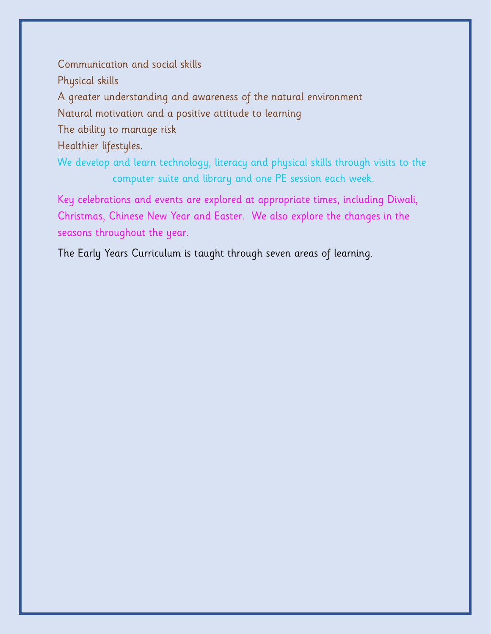Communication and social skills Physical skills A greater understanding and awareness of the natural environment Natural motivation and a positive attitude to learning The ability to manage risk Healthier lifestyles. We develop and learn technology, literacy and physical skills through visits to the computer suite and library and one PE session each week.

Key celebrations and events are explored at appropriate times, including Diwali, Christmas, Chinese New Year and Easter. We also explore the changes in the seasons throughout the year.

The Early Years Curriculum is taught through seven areas of learning.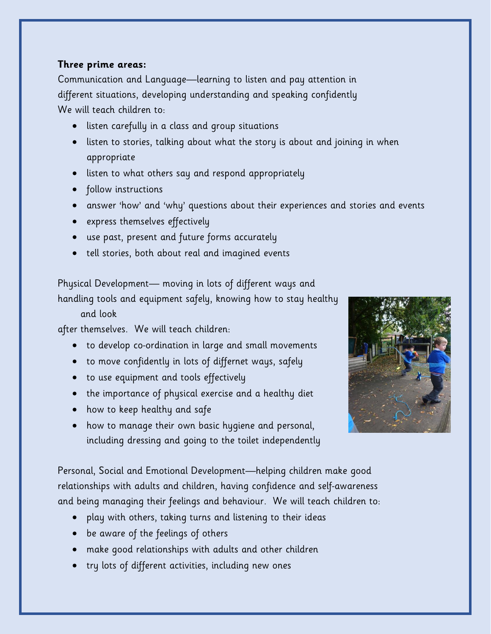## **Three prime areas:**

Communication and Language—learning to listen and pay attention in different situations, developing understanding and speaking confidently We will teach children to:

- listen carefully in a class and group situations
- listen to stories, talking about what the story is about and joining in when appropriate
- listen to what others say and respond appropriately
- follow instructions
- answer 'how' and 'why' questions about their experiences and stories and events
- express themselves effectively
- use past, present and future forms accurately
- tell stories, both about real and imagined events

Physical Development— moving in lots of different ways and

handling tools and equipment safely, knowing how to stay healthy

and look

after themselves. We will teach children:

- to develop co-ordination in large and small movements
- to move confidently in lots of differnet ways, safely
- to use equipment and tools effectively
- the importance of physical exercise and a healthy diet
- how to keep healthy and safe
- how to manage their own basic hygiene and personal, including dressing and going to the toilet independently



Personal, Social and Emotional Development—helping children make good relationships with adults and children, having confidence and self-awareness and being managing their feelings and behaviour. We will teach children to:

- play with others, taking turns and listening to their ideas
- be aware of the feelings of others
- make good relationships with adults and other children
- try lots of different activities, including new ones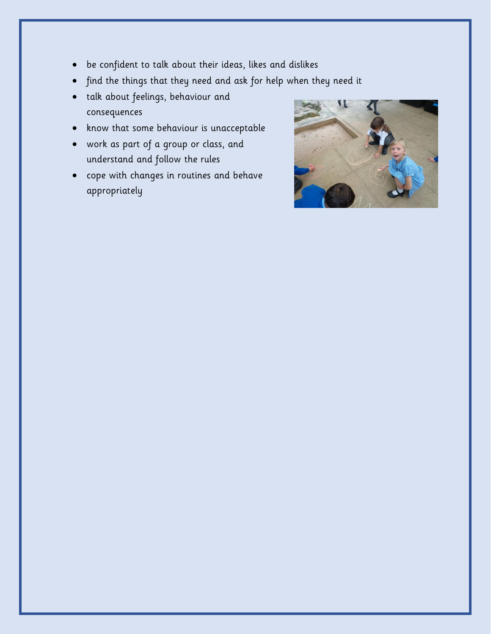- be confident to talk about their ideas, likes and dislikes
- find the things that they need and ask for help when they need it
- talk about feelings, behaviour and consequences
- know that some behaviour is unacceptable
- work as part of a group or class, and understand and follow the rules
- cope with changes in routines and behave appropriately

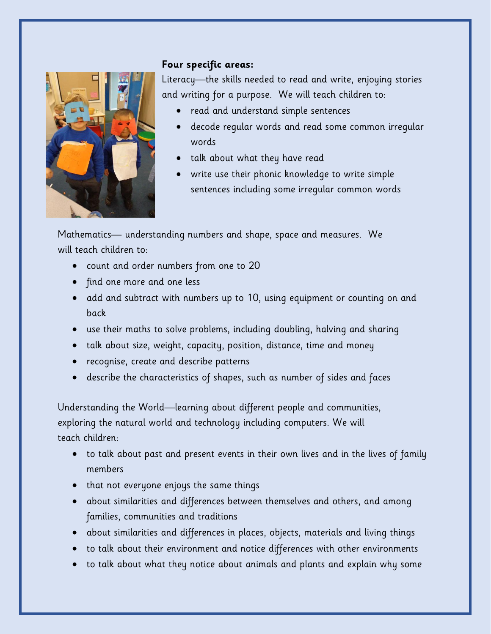

## **Four specific areas:**

Literacy—the skills needed to read and write, enjoying stories and writing for a purpose. We will teach children to:

- read and understand simple sentences
- decode regular words and read some common irregular words
- talk about what they have read
- write use their phonic knowledge to write simple sentences including some irregular common words

Mathematics— understanding numbers and shape, space and measures. We will teach children to:

- count and order numbers from one to 20
- find one more and one less
- add and subtract with numbers up to 10, using equipment or counting on and back
- use their maths to solve problems, including doubling, halving and sharing
- talk about size, weight, capacity, position, distance, time and money
- recognise, create and describe patterns
- describe the characteristics of shapes, such as number of sides and faces

Understanding the World—learning about different people and communities, exploring the natural world and technology including computers. We will teach children:

- to talk about past and present events in their own lives and in the lives of family members
- that not everyone enjoys the same things
- about similarities and differences between themselves and others, and among families, communities and traditions
- about similarities and differences in places, objects, materials and living things
- to talk about their environment and notice differences with other environments
- to talk about what they notice about animals and plants and explain why some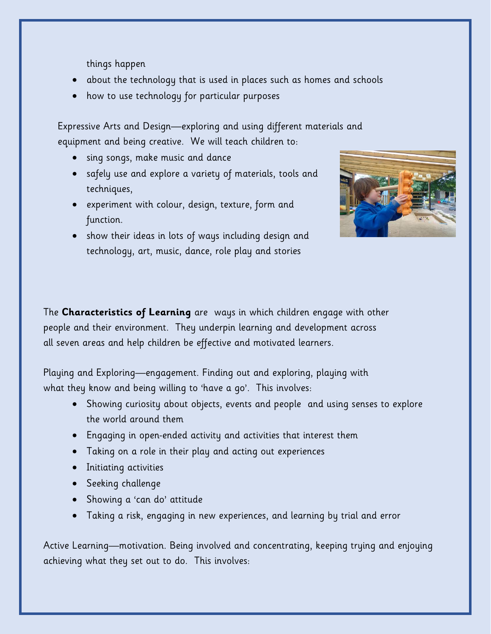things happen

- about the technology that is used in places such as homes and schools
- how to use technology for particular purposes

Expressive Arts and Design—exploring and using different materials and equipment and being creative. We will teach children to:

- sing songs, make music and dance
- safely use and explore a variety of materials, tools and techniques,
- experiment with colour, design, texture, form and function.
- show their ideas in lots of ways including design and technology, art, music, dance, role play and stories



The **Characteristics of Learning** are ways in which children engage with other people and their environment. They underpin learning and development across all seven areas and help children be effective and motivated learners.

Playing and Exploring—engagement. Finding out and exploring, playing with what they know and being willing to 'have a go'. This involves:

- Showing curiosity about objects, events and people and using senses to explore the world around them
- Engaging in open-ended activity and activities that interest them
- Taking on a role in their play and acting out experiences
- Initiating activities
- **•** Seeking challenge
- Showing a 'can do' attitude
- Taking a risk, engaging in new experiences, and learning by trial and error

Active Learning—motivation. Being involved and concentrating, keeping trying and enjoying achieving what they set out to do. This involves: